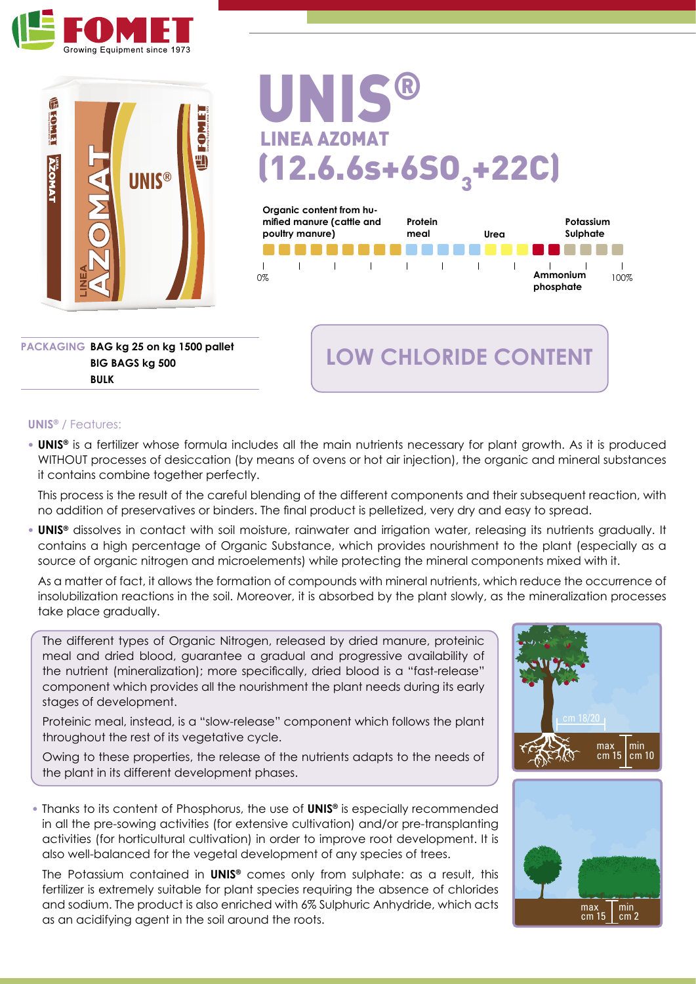



# **Organic content from hu-**UNIS® LINEA AZOMAT  $(12.6.6s+650, +22C)$



**PACKAGING BAG kg 25 on kg 1500 pallet BIG BAGS kg 500 BULK**

# **LOW CHLORIDE CONTENT**

#### **UNIS®** / Features:

**• UNIS®** is a fertilizer whose formula includes all the main nutrients necessary for plant growth. As it is produced WITHOUT processes of desiccation (by means of ovens or hot air injection), the organic and mineral substances it contains combine together perfectly.

This process is the result of the careful blending of the different components and their subsequent reaction, with no addition of preservatives or binders. The final product is pelletized, very dry and easy to spread.

**• UNIS®** dissolves in contact with soil moisture, rainwater and irrigation water, releasing its nutrients gradually. It contains a high percentage of Organic Substance, which provides nourishment to the plant (especially as a source of organic nitrogen and microelements) while protecting the mineral components mixed with it.

As a matter of fact, it allows the formation of compounds with mineral nutrients, which reduce the occurrence of insolubilization reactions in the soil. Moreover, it is absorbed by the plant slowly, as the mineralization processes take place gradually.

The different types of Organic Nitrogen, released by dried manure, proteinic meal and dried blood, guarantee a gradual and progressive availability of the nutrient (mineralization); more specifically, dried blood is a "fast-release" component which provides all the nourishment the plant needs during its early stages of development.

Proteinic meal, instead, is a "slow-release" component which follows the plant throughout the rest of its vegetative cycle.

Owing to these properties, the release of the nutrients adapts to the needs of  $\frac{1}{2}$   $\frac{1}{2}$   $\frac{1}{2}$   $\frac{1}{2}$   $\frac{1}{2}$   $\frac{1}{2}$   $\frac{1}{2}$   $\frac{1}{2}$   $\frac{1}{2}$   $\frac{1}{2}$   $\frac{1}{2}$   $\frac{1}{2}$   $\frac{1}{2}$   $\frac{1}{2}$   $\$ the plant in its different development phases.  $\sim$ eas i

**•** Thanks to its content of Phosphorus, the use of **UNIS®** is especially recommended in all the pre-sowing activities (for extensive cultivation) and/or pre-transplanting activities (for horticultural cultivation) in order to improve root development. It is also well-balanced for the vegetal development of any species of trees.

The Potassium contained in **UNIS®** comes only from sulphate: as a result, this fertilizer is extremely suitable for plant species requiring the absence of chlorides and sodium. The product is also enriched with 6% Sulphuric Anhydride, which acts as an acidifying agent in the soil around the roots.